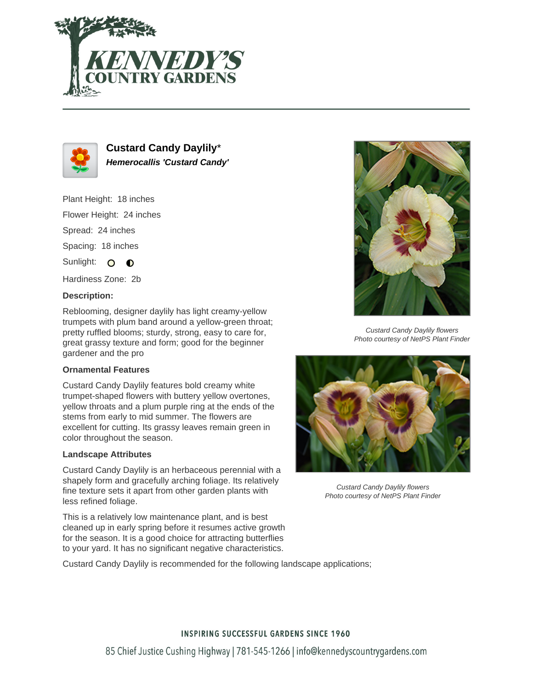



**Custard Candy Daylily**\* **Hemerocallis 'Custard Candy'**

Plant Height: 18 inches Flower Height: 24 inches Spread: 24 inches Spacing: 18 inches

Sunlight: O  $\bullet$ 

Hardiness Zone: 2b

## **Description:**

Reblooming, designer daylily has light creamy-yellow trumpets with plum band around a yellow-green throat; pretty ruffled blooms; sturdy, strong, easy to care for, great grassy texture and form; good for the beginner gardener and the pro

## **Ornamental Features**

Custard Candy Daylily features bold creamy white trumpet-shaped flowers with buttery yellow overtones, yellow throats and a plum purple ring at the ends of the stems from early to mid summer. The flowers are excellent for cutting. Its grassy leaves remain green in color throughout the season.

### **Landscape Attributes**

Custard Candy Daylily is an herbaceous perennial with a shapely form and gracefully arching foliage. Its relatively fine texture sets it apart from other garden plants with less refined foliage.

This is a relatively low maintenance plant, and is best cleaned up in early spring before it resumes active growth for the season. It is a good choice for attracting butterflies to your yard. It has no significant negative characteristics.

Custard Candy Daylily is recommended for the following landscape applications;



Custard Candy Daylily flowers Photo courtesy of NetPS Plant Finder



Custard Candy Daylily flowers Photo courtesy of NetPS Plant Finder

# **INSPIRING SUCCESSFUL GARDENS SINCE 1960**

85 Chief Justice Cushing Highway | 781-545-1266 | info@kennedyscountrygardens.com